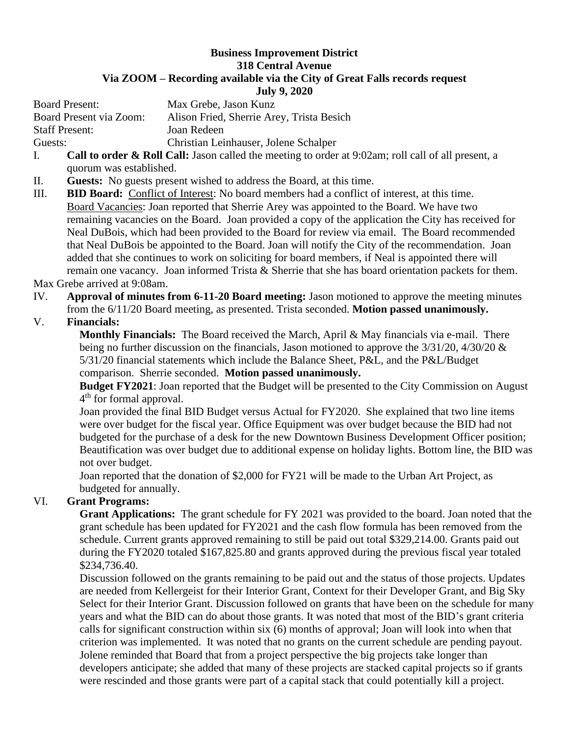### **Business Improvement District 318 Central Avenue Via ZOOM – Recording available via the City of Great Falls records request July 9, 2020**

Board Present: Max Grebe, Jason Kunz Board Present via Zoom: Alison Fried, Sherrie Arey, Trista Besich Staff Present: Joan Redeen Guests: Christian Leinhauser, Jolene Schalper

- I. **Call to order & Roll Call:** Jason called the meeting to order at 9:02am; roll call of all present, a quorum was established.
- II. **Guests:** No guests present wished to address the Board, at this time.
- III. **BID Board:** Conflict of Interest: No board members had a conflict of interest, at this time. Board Vacancies: Joan reported that Sherrie Arey was appointed to the Board. We have two remaining vacancies on the Board. Joan provided a copy of the application the City has received for Neal DuBois, which had been provided to the Board for review via email. The Board recommended that Neal DuBois be appointed to the Board. Joan will notify the City of the recommendation. Joan added that she continues to work on soliciting for board members, if Neal is appointed there will remain one vacancy. Joan informed Trista & Sherrie that she has board orientation packets for them.

#### Max Grebe arrived at 9:08am.

IV. **Approval of minutes from 6-11-20 Board meeting:** Jason motioned to approve the meeting minutes from the 6/11/20 Board meeting, as presented. Trista seconded. **Motion passed unanimously.**

## V. **Financials:**

**Monthly Financials:** The Board received the March, April & May financials via e-mail. There being no further discussion on the financials, Jason motioned to approve the 3/31/20, 4/30/20 & 5/31/20 financial statements which include the Balance Sheet, P&L, and the P&L/Budget comparison. Sherrie seconded. **Motion passed unanimously.**

**Budget FY2021**: Joan reported that the Budget will be presented to the City Commission on August 4<sup>th</sup> for formal approval.

Joan provided the final BID Budget versus Actual for FY2020. She explained that two line items were over budget for the fiscal year. Office Equipment was over budget because the BID had not budgeted for the purchase of a desk for the new Downtown Business Development Officer position; Beautification was over budget due to additional expense on holiday lights. Bottom line, the BID was not over budget.

Joan reported that the donation of \$2,000 for FY21 will be made to the Urban Art Project, as budgeted for annually.

# VI. **Grant Programs:**

**Grant Applications:** The grant schedule for FY 2021 was provided to the board. Joan noted that the grant schedule has been updated for FY2021 and the cash flow formula has been removed from the schedule. Current grants approved remaining to still be paid out total \$329,214.00. Grants paid out during the FY2020 totaled \$167,825.80 and grants approved during the previous fiscal year totaled \$234,736.40.

Discussion followed on the grants remaining to be paid out and the status of those projects. Updates are needed from Kellergeist for their Interior Grant, Context for their Developer Grant, and Big Sky Select for their Interior Grant. Discussion followed on grants that have been on the schedule for many years and what the BID can do about those grants. It was noted that most of the BID's grant criteria calls for significant construction within six (6) months of approval; Joan will look into when that criterion was implemented. It was noted that no grants on the current schedule are pending payout. Jolene reminded that Board that from a project perspective the big projects take longer than developers anticipate; she added that many of these projects are stacked capital projects so if grants were rescinded and those grants were part of a capital stack that could potentially kill a project.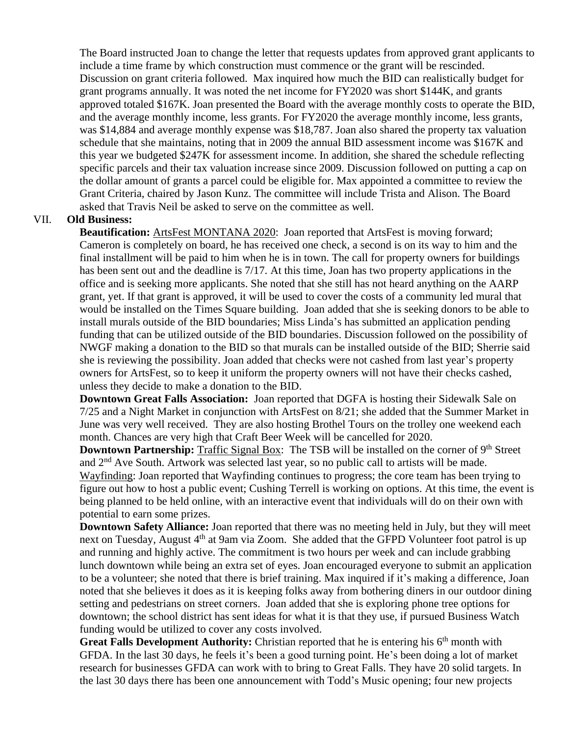The Board instructed Joan to change the letter that requests updates from approved grant applicants to include a time frame by which construction must commence or the grant will be rescinded. Discussion on grant criteria followed. Max inquired how much the BID can realistically budget for grant programs annually. It was noted the net income for FY2020 was short \$144K, and grants approved totaled \$167K. Joan presented the Board with the average monthly costs to operate the BID, and the average monthly income, less grants. For FY2020 the average monthly income, less grants, was \$14,884 and average monthly expense was \$18,787. Joan also shared the property tax valuation schedule that she maintains, noting that in 2009 the annual BID assessment income was \$167K and this year we budgeted \$247K for assessment income. In addition, she shared the schedule reflecting specific parcels and their tax valuation increase since 2009. Discussion followed on putting a cap on the dollar amount of grants a parcel could be eligible for. Max appointed a committee to review the Grant Criteria, chaired by Jason Kunz. The committee will include Trista and Alison. The Board asked that Travis Neil be asked to serve on the committee as well.

#### VII. **Old Business:**

**Beautification:** ArtsFest MONTANA 2020: Joan reported that ArtsFest is moving forward; Cameron is completely on board, he has received one check, a second is on its way to him and the final installment will be paid to him when he is in town. The call for property owners for buildings has been sent out and the deadline is 7/17. At this time, Joan has two property applications in the office and is seeking more applicants. She noted that she still has not heard anything on the AARP grant, yet. If that grant is approved, it will be used to cover the costs of a community led mural that would be installed on the Times Square building. Joan added that she is seeking donors to be able to install murals outside of the BID boundaries; Miss Linda's has submitted an application pending funding that can be utilized outside of the BID boundaries. Discussion followed on the possibility of NWGF making a donation to the BID so that murals can be installed outside of the BID; Sherrie said she is reviewing the possibility. Joan added that checks were not cashed from last year's property owners for ArtsFest, so to keep it uniform the property owners will not have their checks cashed, unless they decide to make a donation to the BID.

**Downtown Great Falls Association:** Joan reported that DGFA is hosting their Sidewalk Sale on 7/25 and a Night Market in conjunction with ArtsFest on 8/21; she added that the Summer Market in June was very well received. They are also hosting Brothel Tours on the trolley one weekend each month. Chances are very high that Craft Beer Week will be cancelled for 2020.

**Downtown Partnership:** Traffic Signal Box: The TSB will be installed on the corner of 9<sup>th</sup> Street and 2nd Ave South. Artwork was selected last year, so no public call to artists will be made. Wayfinding: Joan reported that Wayfinding continues to progress; the core team has been trying to figure out how to host a public event; Cushing Terrell is working on options. At this time, the event is being planned to be held online, with an interactive event that individuals will do on their own with potential to earn some prizes.

**Downtown Safety Alliance:** Joan reported that there was no meeting held in July, but they will meet next on Tuesday, August 4<sup>th</sup> at 9am via Zoom. She added that the GFPD Volunteer foot patrol is up and running and highly active. The commitment is two hours per week and can include grabbing lunch downtown while being an extra set of eyes. Joan encouraged everyone to submit an application to be a volunteer; she noted that there is brief training. Max inquired if it's making a difference, Joan noted that she believes it does as it is keeping folks away from bothering diners in our outdoor dining setting and pedestrians on street corners. Joan added that she is exploring phone tree options for downtown; the school district has sent ideas for what it is that they use, if pursued Business Watch funding would be utilized to cover any costs involved.

**Great Falls Development Authority:** Christian reported that he is entering his 6<sup>th</sup> month with GFDA. In the last 30 days, he feels it's been a good turning point. He's been doing a lot of market research for businesses GFDA can work with to bring to Great Falls. They have 20 solid targets. In the last 30 days there has been one announcement with Todd's Music opening; four new projects